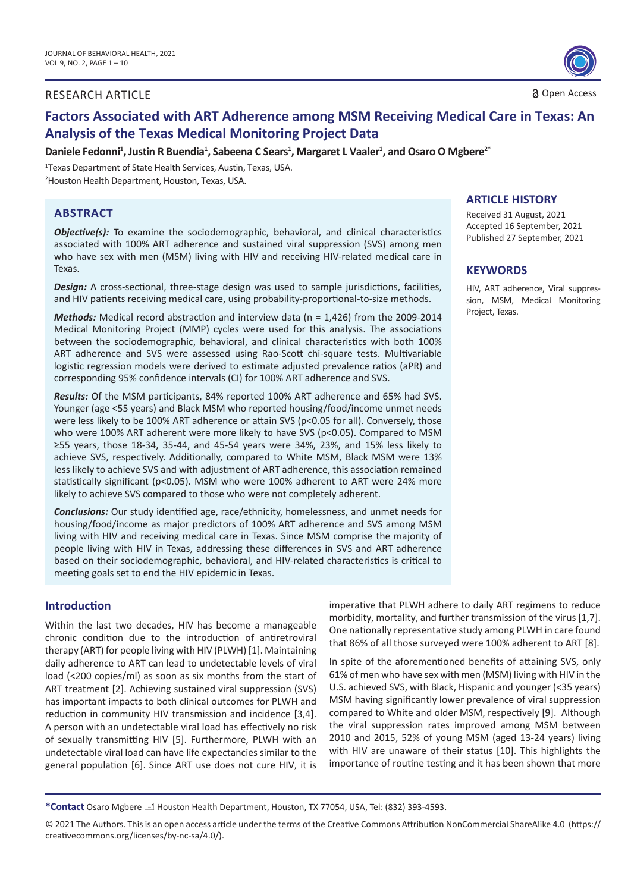# RESEARCH ARTICLE 3 Open Access 3 Open Access



# **Factors Associated with ART Adherence among MSM Receiving Medical Care in Texas: An Analysis of the Texas Medical Monitoring Project Data**

Daniele Fedonni<sup>1</sup>, Justin R Buendia<sup>1</sup>, Sabeena C Sears<sup>1</sup>, Margaret L Vaaler<sup>1</sup>, and Osaro O Mgbere<sup>2\*</sup>

1 Texas Department of State Health Services, Austin, Texas, USA. 2 Houston Health Department, Houston, Texas, USA.

### **ABSTRACT**

*Objective(s):* To examine the sociodemographic, behavioral, and clinical characteristics associated with 100% ART adherence and sustained viral suppression (SVS) among men who have sex with men (MSM) living with HIV and receiving HIV-related medical care in Texas.

**Design:** A cross-sectional, three-stage design was used to sample jurisdictions, facilities, and HIV patients receiving medical care, using probability-proportional-to-size methods.

*Methods:* Medical record abstraction and interview data (n = 1,426) from the 2009-2014 Medical Monitoring Project (MMP) cycles were used for this analysis. The associations between the sociodemographic, behavioral, and clinical characteristics with both 100% ART adherence and SVS were assessed using Rao-Scott chi-square tests. Multivariable logistic regression models were derived to estimate adjusted prevalence ratios (aPR) and corresponding 95% confidence intervals (CI) for 100% ART adherence and SVS.

*Results:* Of the MSM participants, 84% reported 100% ART adherence and 65% had SVS. Younger (age <55 years) and Black MSM who reported housing/food/income unmet needs were less likely to be 100% ART adherence or attain SVS (p<0.05 for all). Conversely, those who were 100% ART adherent were more likely to have SVS (p<0.05). Compared to MSM ≥55 years, those 18-34, 35-44, and 45-54 years were 34%, 23%, and 15% less likely to achieve SVS, respectively. Additionally, compared to White MSM, Black MSM were 13% less likely to achieve SVS and with adjustment of ART adherence, this association remained statistically significant ( $p<0.05$ ). MSM who were 100% adherent to ART were 24% more likely to achieve SVS compared to those who were not completely adherent.

*Conclusions:* Our study identified age, race/ethnicity, homelessness, and unmet needs for housing/food/income as major predictors of 100% ART adherence and SVS among MSM living with HIV and receiving medical care in Texas. Since MSM comprise the majority of people living with HIV in Texas, addressing these differences in SVS and ART adherence based on their sociodemographic, behavioral, and HIV-related characteristics is critical to meeting goals set to end the HIV epidemic in Texas.

#### **Introduction**

Within the last two decades, HIV has become a manageable chronic condition due to the introduction of antiretroviral therapy (ART) for people living with HIV (PLWH) [1]. Maintaining daily adherence to ART can lead to undetectable levels of viral load (<200 copies/ml) as soon as six months from the start of ART treatment [2]. Achieving sustained viral suppression (SVS) has important impacts to both clinical outcomes for PLWH and reduction in community HIV transmission and incidence [3,4]. A person with an undetectable viral load has effectively no risk of sexually transmitting HIV [5]. Furthermore, PLWH with an undetectable viral load can have life expectancies similar to the general population [6]. Since ART use does not cure HIV, it is imperative that PLWH adhere to daily ART regimens to reduce morbidity, mortality, and further transmission of the virus[1,7]. One nationally representative study among PLWH in care found that 86% of all those surveyed were 100% adherent to ART [8].

In spite of the aforementioned benefits of attaining SVS, only 61% of men who have sex with men (MSM) living with HIV in the U.S. achieved SVS, with Black, Hispanic and younger (<35 years) MSM having significantly lower prevalence of viral suppression compared to White and older MSM, respectively [9]. Although the viral suppression rates improved among MSM between 2010 and 2015, 52% of young MSM (aged 13-24 years) living with HIV are unaware of their status [10]. This highlights the importance of routine testing and it has been shown that more

**\*Contact** Osaro Mgbere Houston Health Department, Houston, TX 77054, USA, Tel: (832) 393-4593.

#### **ARTICLE HISTORY**

Received 31 August, 2021 Accepted 16 September, 2021 Published 27 September, 2021

#### **KEYWORDS**

HIV, ART adherence, Viral suppression, MSM, Medical Monitoring Project, Texas.

<sup>©</sup> 2021 The Authors. This is an open access article under the terms of the Creative Commons Attribution NonCommercial ShareAlike 4.0 (https:// creativecommons.org/licenses/by-nc-sa/4.0/).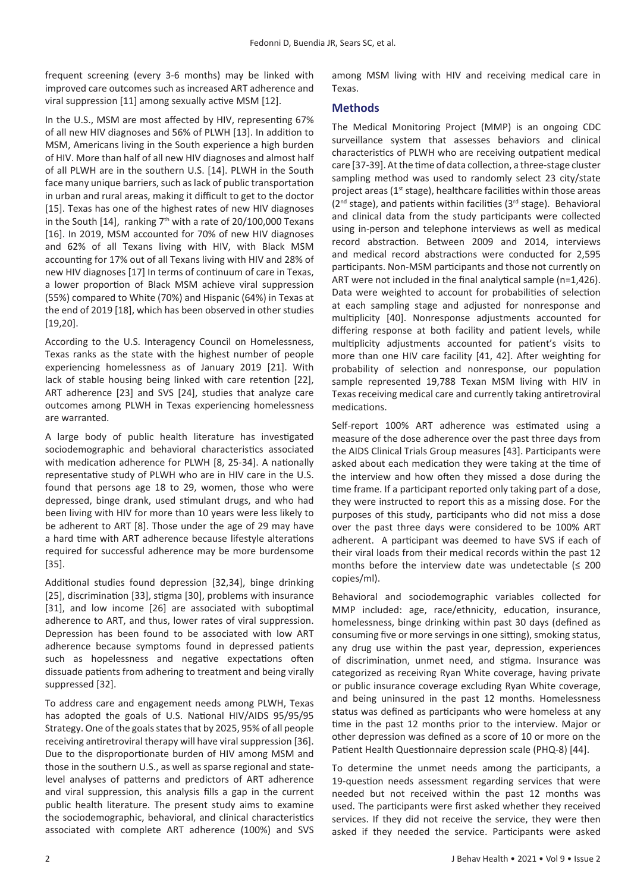frequent screening (every 3-6 months) may be linked with improved care outcomes such as increased ART adherence and viral suppression [11] among sexually active MSM [12].

In the U.S., MSM are most affected by HIV, representing 67% of all new HIV diagnoses and 56% of PLWH [13]. In addition to MSM, Americans living in the South experience a high burden of HIV. More than half of all new HIV diagnoses and almost half of all PLWH are in the southern U.S. [14]. PLWH in the South face many unique barriers, such as lack of public transportation in urban and rural areas, making it difficult to get to the doctor [15]. Texas has one of the highest rates of new HIV diagnoses in the South [14], ranking  $7<sup>th</sup>$  with a rate of 20/100,000 Texans [16]. In 2019, MSM accounted for 70% of new HIV diagnoses and 62% of all Texans living with HIV, with Black MSM accounting for 17% out of all Texans living with HIV and 28% of new HIV diagnoses [17] In terms of continuum of care in Texas, a lower proportion of Black MSM achieve viral suppression (55%) compared to White (70%) and Hispanic (64%) in Texas at the end of 2019 [18], which has been observed in other studies [19,20].

According to the U.S. Interagency Council on Homelessness, Texas ranks as the state with the highest number of people experiencing homelessness as of January 2019 [21]. With lack of stable housing being linked with care retention [22], ART adherence [23] and SVS [24], studies that analyze care outcomes among PLWH in Texas experiencing homelessness are warranted.

A large body of public health literature has investigated sociodemographic and behavioral characteristics associated with medication adherence for PLWH [8, 25-34]. A nationally representative study of PLWH who are in HIV care in the U.S. found that persons age 18 to 29, women, those who were depressed, binge drank, used stimulant drugs, and who had been living with HIV for more than 10 years were less likely to be adherent to ART [8]. Those under the age of 29 may have a hard time with ART adherence because lifestyle alterations required for successful adherence may be more burdensome [35].

Additional studies found depression [32,34], binge drinking [25], discrimination [33], stigma [30], problems with insurance [31], and low income [26] are associated with suboptimal adherence to ART, and thus, lower rates of viral suppression. Depression has been found to be associated with low ART adherence because symptoms found in depressed patients such as hopelessness and negative expectations often dissuade patients from adhering to treatment and being virally suppressed [32].

To address care and engagement needs among PLWH, Texas has adopted the goals of U.S. National HIV/AIDS 95/95/95 Strategy. One of the goals states that by 2025, 95% of all people receiving antiretroviral therapy will have viral suppression [36]. Due to the disproportionate burden of HIV among MSM and those in the southern U.S., as well as sparse regional and statelevel analyses of patterns and predictors of ART adherence and viral suppression, this analysis fills a gap in the current public health literature. The present study aims to examine the sociodemographic, behavioral, and clinical characteristics associated with complete ART adherence (100%) and SVS

among MSM living with HIV and receiving medical care in Texas.

# **Methods**

The Medical Monitoring Project (MMP) is an ongoing CDC surveillance system that assesses behaviors and clinical characteristics of PLWH who are receiving outpatient medical care [37-39]. At the time of data collection, a three-stage cluster sampling method was used to randomly select 23 city/state project areas (1st stage), healthcare facilities within those areas (2<sup>nd</sup> stage), and patients within facilities (3<sup>rd</sup> stage). Behavioral and clinical data from the study participants were collected using in-person and telephone interviews as well as medical record abstraction. Between 2009 and 2014, interviews and medical record abstractions were conducted for 2,595 participants. Non-MSM participants and those not currently on ART were not included in the final analytical sample (n=1,426). Data were weighted to account for probabilities of selection at each sampling stage and adjusted for nonresponse and multiplicity [40]. Nonresponse adjustments accounted for differing response at both facility and patient levels, while multiplicity adjustments accounted for patient's visits to more than one HIV care facility [41, 42]. After weighting for probability of selection and nonresponse, our population sample represented 19,788 Texan MSM living with HIV in Texas receiving medical care and currently taking antiretroviral medications.

Self-report 100% ART adherence was estimated using a measure of the dose adherence over the past three days from the AIDS Clinical Trials Group measures [43]. Participants were asked about each medication they were taking at the time of the interview and how often they missed a dose during the time frame. If a participant reported only taking part of a dose, they were instructed to report this as a missing dose. For the purposes of this study, participants who did not miss a dose over the past three days were considered to be 100% ART adherent. A participant was deemed to have SVS if each of their viral loads from their medical records within the past 12 months before the interview date was undetectable  $(≤ 200$ copies/ml).

Behavioral and sociodemographic variables collected for MMP included: age, race/ethnicity, education, insurance, homelessness, binge drinking within past 30 days (defined as consuming five or more servings in one sitting), smoking status, any drug use within the past year, depression, experiences of discrimination, unmet need, and stigma. Insurance was categorized as receiving Ryan White coverage, having private or public insurance coverage excluding Ryan White coverage, and being uninsured in the past 12 months. Homelessness status was defined as participants who were homeless at any time in the past 12 months prior to the interview. Major or other depression was defined as a score of 10 or more on the Patient Health Questionnaire depression scale (PHQ-8) [44].

To determine the unmet needs among the participants, a 19-question needs assessment regarding services that were needed but not received within the past 12 months was used. The participants were first asked whether they received services. If they did not receive the service, they were then asked if they needed the service. Participants were asked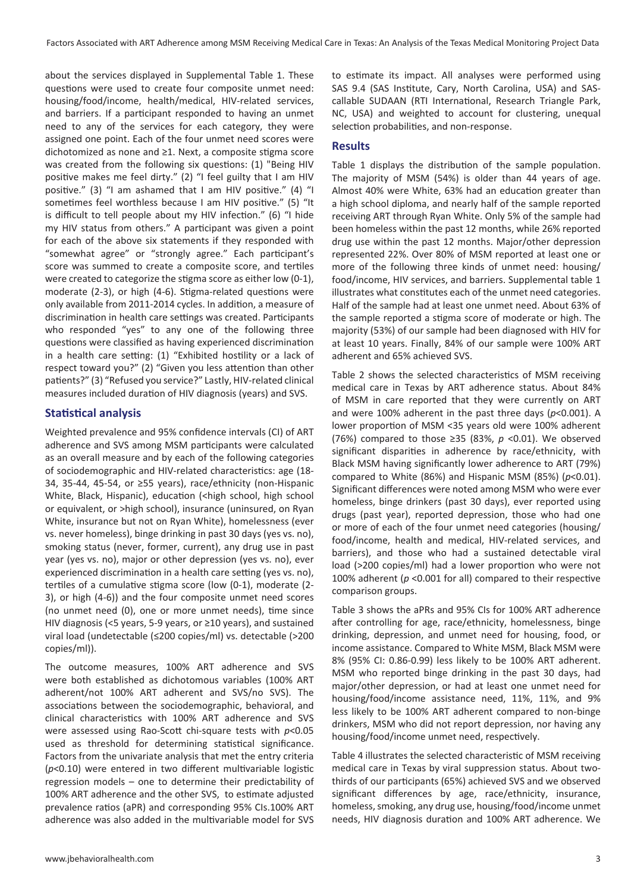about the services displayed in Supplemental Table 1. These questions were used to create four composite unmet need: housing/food/income, health/medical, HIV-related services, and barriers. If a participant responded to having an unmet need to any of the services for each category, they were assigned one point. Each of the four unmet need scores were dichotomized as none and ≥1. Next, a composite stigma score was created from the following six questions: (1) "Being HIV positive makes me feel dirty." (2) "I feel guilty that I am HIV positive." (3) "I am ashamed that I am HIV positive." (4) "I sometimes feel worthless because I am HIV positive." (5) "It is difficult to tell people about my HIV infection." (6) "I hide my HIV status from others." A participant was given a point for each of the above six statements if they responded with "somewhat agree" or "strongly agree." Each participant's score was summed to create a composite score, and tertiles were created to categorize the stigma score as either low (0-1), moderate (2-3), or high (4-6). Stigma-related questions were only available from 2011-2014 cycles. In addition, a measure of discrimination in health care settings was created. Participants who responded "yes" to any one of the following three questions were classified as having experienced discrimination in a health care setting: (1) "Exhibited hostility or a lack of respect toward you?" (2) "Given you less attention than other patients?" (3) "Refused you service?" Lastly, HIV-related clinical measures included duration of HIV diagnosis (years) and SVS.

# **Statistical analysis**

Weighted prevalence and 95% confidence intervals (CI) of ART adherence and SVS among MSM participants were calculated as an overall measure and by each of the following categories of sociodemographic and HIV-related characteristics: age (18- 34, 35-44, 45-54, or ≥55 years), race/ethnicity (non-Hispanic White, Black, Hispanic), education (<high school, high school or equivalent, or >high school), insurance (uninsured, on Ryan White, insurance but not on Ryan White), homelessness (ever vs. never homeless), binge drinking in past 30 days (yes vs. no), smoking status (never, former, current), any drug use in past year (yes vs. no), major or other depression (yes vs. no), ever experienced discrimination in a health care setting (yes vs. no), tertiles of a cumulative stigma score (low (0-1), moderate (2- 3), or high (4-6)) and the four composite unmet need scores (no unmet need (0), one or more unmet needs), time since HIV diagnosis (<5 years, 5-9 years, or ≥10 years), and sustained viral load (undetectable (≤200 copies/ml) vs. detectable (>200 copies/ml)).

The outcome measures, 100% ART adherence and SVS were both established as dichotomous variables (100% ART adherent/not 100% ART adherent and SVS/no SVS). The associations between the sociodemographic, behavioral, and clinical characteristics with 100% ART adherence and SVS were assessed using Rao-Scott chi-square tests with *p*<0.05 used as threshold for determining statistical significance. Factors from the univariate analysis that met the entry criteria (*p*<0.10) were entered in two different multivariable logistic regression models – one to determine their predictability of 100% ART adherence and the other SVS, to estimate adjusted prevalence ratios (aPR) and corresponding 95% CIs.100% ART adherence was also added in the multivariable model for SVS

to estimate its impact. All analyses were performed using SAS 9.4 (SAS Institute, Cary, North Carolina, USA) and SAScallable SUDAAN (RTI International, Research Triangle Park, NC, USA) and weighted to account for clustering, unequal selection probabilities, and non-response.

# **Results**

Table 1 displays the distribution of the sample population. The majority of MSM (54%) is older than 44 years of age. Almost 40% were White, 63% had an education greater than a high school diploma, and nearly half of the sample reported receiving ART through Ryan White. Only 5% of the sample had been homeless within the past 12 months, while 26% reported drug use within the past 12 months. Major/other depression represented 22%. Over 80% of MSM reported at least one or more of the following three kinds of unmet need: housing/ food/income, HIV services, and barriers. Supplemental table 1 illustrates what constitutes each of the unmet need categories. Half of the sample had at least one unmet need. About 63% of the sample reported a stigma score of moderate or high. The majority (53%) of our sample had been diagnosed with HIV for at least 10 years. Finally, 84% of our sample were 100% ART adherent and 65% achieved SVS.

Table 2 shows the selected characteristics of MSM receiving medical care in Texas by ART adherence status. About 84% of MSM in care reported that they were currently on ART and were 100% adherent in the past three days (*p*<0.001). A lower proportion of MSM <35 years old were 100% adherent (76%) compared to those ≥35 (83%, *p* <0.01). We observed significant disparities in adherence by race/ethnicity, with Black MSM having significantly lower adherence to ART (79%) compared to White (86%) and Hispanic MSM (85%) (*p*<0.01). Significant differences were noted among MSM who were ever homeless, binge drinkers (past 30 days), ever reported using drugs (past year), reported depression, those who had one or more of each of the four unmet need categories (housing/ food/income, health and medical, HIV-related services, and barriers), and those who had a sustained detectable viral load (>200 copies/ml) had a lower proportion who were not 100% adherent (*p* <0.001 for all) compared to their respective comparison groups.

Table 3 shows the aPRs and 95% CIs for 100% ART adherence after controlling for age, race/ethnicity, homelessness, binge drinking, depression, and unmet need for housing, food, or income assistance. Compared to White MSM, Black MSM were 8% (95% CI: 0.86-0.99) less likely to be 100% ART adherent. MSM who reported binge drinking in the past 30 days, had major/other depression, or had at least one unmet need for housing/food/income assistance need, 11%, 11%, and 9% less likely to be 100% ART adherent compared to non-binge drinkers, MSM who did not report depression, nor having any housing/food/income unmet need, respectively.

Table 4 illustrates the selected characteristic of MSM receiving medical care in Texas by viral suppression status. About twothirds of our participants (65%) achieved SVS and we observed significant differences by age, race/ethnicity, insurance, homeless, smoking, any drug use, housing/food/income unmet needs, HIV diagnosis duration and 100% ART adherence. We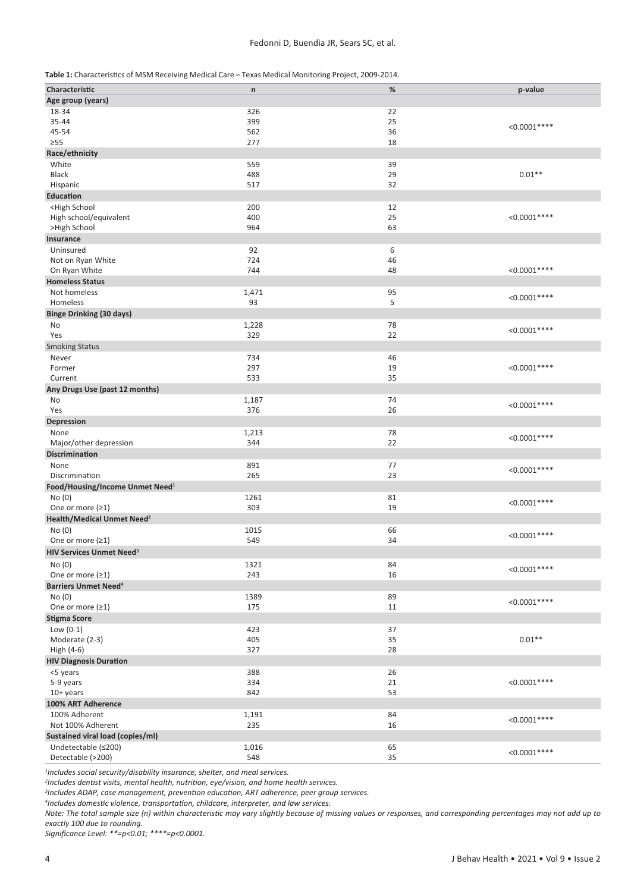| Table 1: Characteristics of MSM Receiving Medical Care – Texas Medical Monitoring Project, 2009-2014. |  |
|-------------------------------------------------------------------------------------------------------|--|
|-------------------------------------------------------------------------------------------------------|--|

| Characteristic                                                 | $\mathsf n$  | $\%$     | p-value       |
|----------------------------------------------------------------|--------------|----------|---------------|
| Age group (years)                                              |              |          |               |
| 18-34                                                          | 326          | 22       |               |
| 35-44                                                          | 399          | 25       |               |
| 45-54                                                          | 562          | 36       | $< 0.0001***$ |
| $\geq 55$                                                      | 277          | 18       |               |
| Race/ethnicity                                                 |              |          |               |
| White                                                          | 559          | 39       |               |
| <b>Black</b>                                                   | 488          | 29       | $0.01**$      |
| Hispanic                                                       | 517          | 32       |               |
| <b>Education</b>                                               |              |          |               |
| <high school<="" td=""><td>200</td><td>12</td><td></td></high> | 200          | 12       |               |
| High school/equivalent                                         | 400          | 25       | $< 0.0001***$ |
| >High School                                                   | 964          | 63       |               |
| Insurance                                                      |              |          |               |
| Uninsured                                                      | 92           | 6        |               |
| Not on Ryan White                                              | 724          | 46       |               |
| On Ryan White                                                  | 744          | 48       | $< 0.0001***$ |
| <b>Homeless Status</b>                                         |              |          |               |
|                                                                |              |          |               |
| Not homeless                                                   | 1,471<br>93  | 95       | $< 0.0001***$ |
| Homeless                                                       |              | 5        |               |
| <b>Binge Drinking (30 days)</b>                                |              |          |               |
| No                                                             | 1,228        | 78       | $< 0.0001***$ |
| Yes                                                            | 329          | 22       |               |
| <b>Smoking Status</b>                                          |              |          |               |
| Never                                                          | 734          | 46       |               |
| Former                                                         | 297          | 19       | $< 0.0001***$ |
| Current                                                        | 533          | 35       |               |
| Any Drugs Use (past 12 months)                                 |              |          |               |
| No                                                             | 1,187        | 74       | $< 0.0001***$ |
| Yes                                                            | 376          | 26       |               |
| Depression                                                     |              |          |               |
| None                                                           | 1,213        | 78       | $< 0.0001***$ |
| Major/other depression                                         | 344          | 22       |               |
| Discrimination                                                 |              |          |               |
| None                                                           | 891          | 77       | $< 0.0001***$ |
| Discrimination                                                 | 265          | 23       |               |
| Food/Housing/Income Unmet Need <sup>1</sup>                    |              |          |               |
| No (0)                                                         | 1261         | 81       | $< 0.0001***$ |
| One or more $(21)$                                             | 303          | 19       |               |
| Health/Medical Unmet Need <sup>2</sup>                         |              |          |               |
| No (0)                                                         | 1015         | 66       | $< 0.0001***$ |
| One or more $(21)$                                             | 549          | 34       |               |
| <b>HIV Services Unmet Need<sup>3</sup></b>                     |              |          |               |
| No(0)                                                          | 1321         | 84       |               |
| One or more (≥1)                                               | 243          | 16       | $< 0.0001***$ |
| <b>Barriers Unmet Need<sup>4</sup></b>                         |              |          |               |
| No(0)                                                          | 1389         | 89       |               |
| One or more (≥1)                                               | 175          | 11       | $< 0.0001***$ |
| <b>Stigma Score</b>                                            |              |          |               |
| Low $(0-1)$                                                    | 423          | 37       |               |
| Moderate (2-3)                                                 | 405          | 35       | $0.01**$      |
| High (4-6)                                                     | 327          | 28       |               |
| <b>HIV Diagnosis Duration</b>                                  |              |          |               |
| <5 years                                                       | 388          | 26       |               |
| 5-9 years                                                      | 334          | 21       | $< 0.0001***$ |
| 10+ years                                                      | 842          | 53       |               |
| 100% ART Adherence                                             |              |          |               |
| 100% Adherent                                                  | 1,191        | 84       |               |
| Not 100% Adherent                                              | 235          | 16       | $< 0.0001***$ |
|                                                                |              |          |               |
| Sustained viral load (copies/ml)                               |              |          |               |
| Undetectable (≤200)<br>Detectable (>200)                       | 1,016<br>548 | 65<br>35 | $< 0.0001***$ |
|                                                                |              |          |               |

*1 Includes social security/disability insurance, shelter, and meal services.*

*2 Includes dentist visits, mental health, nutrition, eye/vision, and home health services.*

*3 Includes ADAP, case management, prevention education, ART adherence, peer group services.*

*4 Includes domestic violence, transportation, childcare, interpreter, and law services.*

*Note: The total sample size (n) within characteristic may vary slightly because of missing values or responses, and corresponding percentages may not add up to exactly 100 due to rounding.*

*Significance Level: \*\*=p<0.01; \*\*\*\*=p<0.0001.*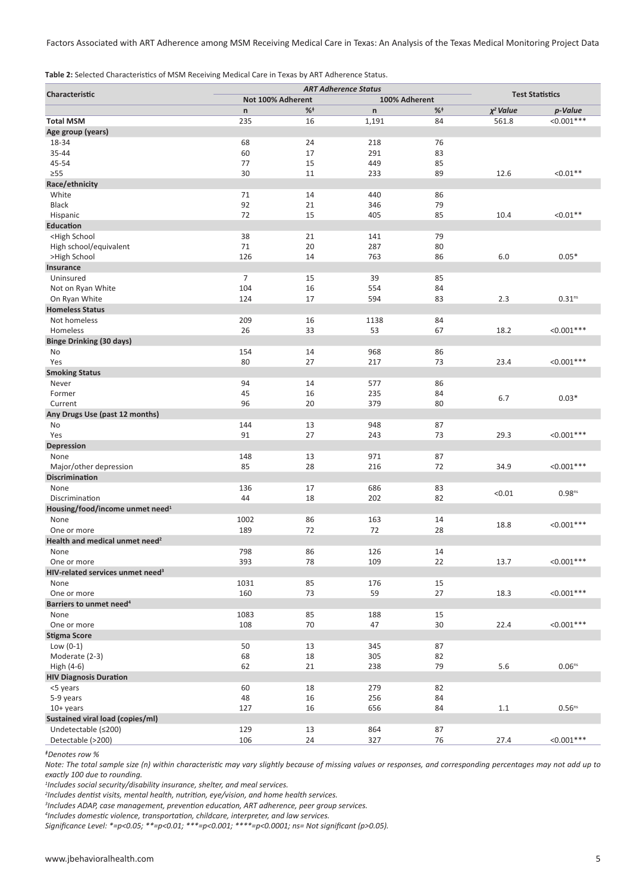Factors Associated with ART Adherence among MSM Receiving Medical Care in Texas: An Analysis of the Texas Medical Monitoring Project Data

**Table 2:** Selected Characteristics of MSM Receiving Medical Care in Texas by ART Adherence Status.

|                                                                                               |                   | <b>ART Adherence Status</b> | <b>Test Statistics</b> |       |                |                    |
|-----------------------------------------------------------------------------------------------|-------------------|-----------------------------|------------------------|-------|----------------|--------------------|
| Characteristic                                                                                | Not 100% Adherent |                             |                        |       | 100% Adherent  |                    |
|                                                                                               | n                 | $%^+$                       | $\mathsf{n}$           | $%^+$ | $\chi^2$ Value | p-Value            |
| <b>Total MSM</b>                                                                              | 235               | 16                          | 1,191                  | 84    | 561.8          | $< 0.001***$       |
| Age group (years)                                                                             |                   |                             |                        |       |                |                    |
| 18-34                                                                                         | 68                | 24                          | 218                    | 76    |                |                    |
| 35-44                                                                                         | 60                | 17                          | 291                    | 83    |                |                    |
| 45-54                                                                                         | 77                | 15                          | 449                    | 85    |                |                    |
| $\geq 55$                                                                                     | 30                | 11                          | 233                    | 89    | 12.6           | $< 0.01**$         |
| Race/ethnicity                                                                                |                   |                             |                        |       |                |                    |
| White                                                                                         | 71                | 14                          | 440                    | 86    |                |                    |
| <b>Black</b>                                                                                  | 92                | 21                          | 346                    | 79    |                |                    |
| Hispanic                                                                                      | 72                | 15                          | 405                    | 85    | 10.4           | $< 0.01**$         |
| Education                                                                                     |                   |                             |                        |       |                |                    |
| <high school<="" td=""><td>38</td><td>21</td><td>141</td><td>79</td><td></td><td></td></high> | 38                | 21                          | 141                    | 79    |                |                    |
| High school/equivalent                                                                        | 71                | 20                          | 287                    | 80    |                |                    |
| >High School                                                                                  | 126               | 14                          | 763                    | 86    | 6.0            | $0.05*$            |
|                                                                                               |                   |                             |                        |       |                |                    |
| Insurance                                                                                     | $\overline{7}$    |                             |                        |       |                |                    |
| Uninsured                                                                                     |                   | 15                          | 39                     | 85    |                |                    |
| Not on Ryan White                                                                             | 104               | 16                          | 554                    | 84    |                |                    |
| On Ryan White                                                                                 | 124               | 17                          | 594                    | 83    | 2.3            | 0.31 <sup>ns</sup> |
| <b>Homeless Status</b>                                                                        |                   |                             |                        |       |                |                    |
| Not homeless                                                                                  | 209               | 16                          | 1138                   | 84    |                |                    |
| Homeless                                                                                      | 26                | 33                          | 53                     | 67    | 18.2           | $< 0.001***$       |
| <b>Binge Drinking (30 days)</b>                                                               |                   |                             |                        |       |                |                    |
| No                                                                                            | 154               | 14                          | 968                    | 86    |                |                    |
| Yes                                                                                           | 80                | 27                          | 217                    | 73    | 23.4           | $< 0.001***$       |
| <b>Smoking Status</b>                                                                         |                   |                             |                        |       |                |                    |
| Never                                                                                         | 94                | 14                          | 577                    | 86    |                |                    |
| Former                                                                                        | 45                | 16                          | 235                    | 84    |                |                    |
| Current                                                                                       | 96                | 20                          | 379                    | 80    | 6.7            | $0.03*$            |
| Any Drugs Use (past 12 months)                                                                |                   |                             |                        |       |                |                    |
| No                                                                                            | 144               | 13                          | 948                    | 87    |                |                    |
| Yes                                                                                           | 91                | 27                          | 243                    | 73    | 29.3           | $< 0.001***$       |
| <b>Depression</b>                                                                             |                   |                             |                        |       |                |                    |
| None                                                                                          | 148               | 13                          | 971                    | 87    |                |                    |
| Major/other depression                                                                        | 85                | 28                          | 216                    | 72    | 34.9           | $< 0.001***$       |
| <b>Discrimination</b>                                                                         |                   |                             |                        |       |                |                    |
| None                                                                                          | 136               | 17                          | 686                    | 83    |                |                    |
| Discrimination                                                                                | 44                | 18                          | 202                    | 82    | < 0.01         | 0.98 <sup>ns</sup> |
| Housing/food/income unmet need <sup>1</sup>                                                   |                   |                             |                        |       |                |                    |
|                                                                                               |                   |                             |                        |       |                |                    |
| None                                                                                          | 1002              | 86                          | 163                    | 14    | 18.8           | $< 0.001***$       |
| One or more                                                                                   | 189               | 72                          | 72                     | 28    |                |                    |
| Health and medical unmet need <sup>2</sup>                                                    |                   |                             |                        |       |                |                    |
| None                                                                                          | 798               | 86                          | 126                    | 14    |                |                    |
| One or more                                                                                   | 393               | 78                          | 109                    | 22    | 13.7           | $< 0.001***$       |
| HIV-related services unmet need <sup>3</sup>                                                  |                   |                             |                        |       |                |                    |
| None                                                                                          | 1031              | 85                          | 176                    | 15    |                |                    |
| One or more                                                                                   | 160               | 73                          | 59                     | 27    | 18.3           | $< 0.001***$       |
| Barriers to unmet need <sup>4</sup>                                                           |                   |                             |                        |       |                |                    |
| None                                                                                          | 1083              | 85                          | 188                    | 15    |                |                    |
| One or more                                                                                   | 108               | 70                          | 47                     | 30    | 22.4           | $< 0.001***$       |
| Stigma Score                                                                                  |                   |                             |                        |       |                |                    |
| Low $(0-1)$                                                                                   | 50                | 13                          | 345                    | 87    |                |                    |
| Moderate (2-3)                                                                                | 68                | 18                          | 305                    | 82    |                |                    |
| High (4-6)                                                                                    | 62                | 21                          | 238                    | 79    | $5.6\,$        | 0.06 <sup>ns</sup> |
| <b>HIV Diagnosis Duration</b>                                                                 |                   |                             |                        |       |                |                    |
| <5 years                                                                                      | 60                | 18                          | 279                    | 82    |                |                    |
| 5-9 years                                                                                     | 48                | 16                          | 256                    | 84    |                |                    |
| $10+$ years                                                                                   | 127               | 16                          | 656                    | 84    | $1.1\,$        | 0.56 <sup>ns</sup> |
| Sustained viral load (copies/ml)                                                              |                   |                             |                        |       |                |                    |
| Undetectable (≤200)                                                                           | 129               | 13                          | 864                    | 87    |                |                    |
|                                                                                               | 106               | 24                          |                        |       |                | $< 0.001***$       |
| Detectable (>200)                                                                             |                   |                             | 327                    | 76    | 27.4           |                    |

*<sup>ǂ</sup>Denotes row %*

*Note: The total sample size (n) within characteristic may vary slightly because of missing values or responses, and corresponding percentages may not add up to exactly 100 due to rounding.*

*Includes social security/disability insurance, shelter, and meal services.*

*Includes dentist visits, mental health, nutrition, eye/vision, and home health services.*

*Includes ADAP, case management, prevention education, ART adherence, peer group services.*

*Includes domestic violence, transportation, childcare, interpreter, and law services.*

*Significance Level: \*=p<0.05; \*\*=p<0.01; \*\*\*=p<0.001; \*\*\*\*=p<0.0001; ns= Not significant (p>0.05).*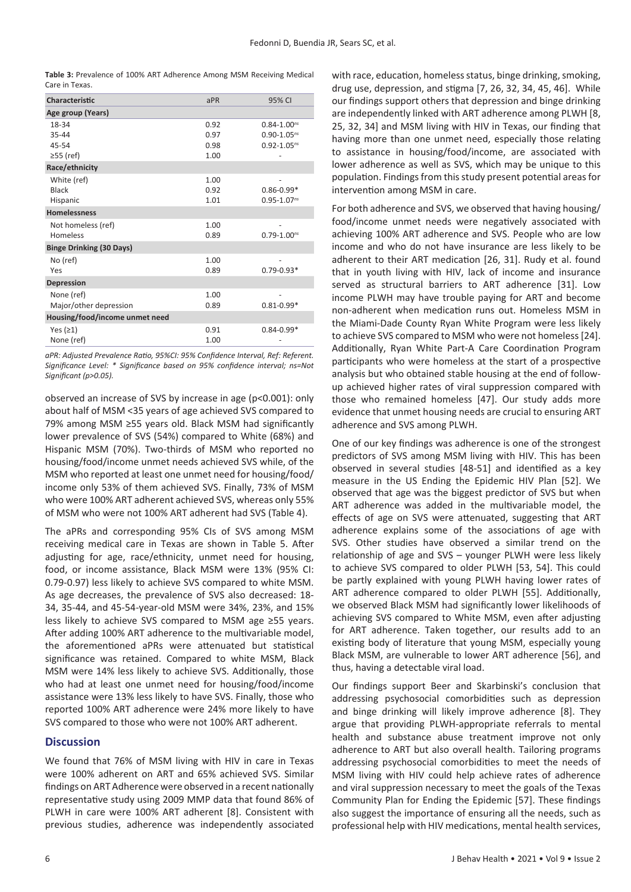**Table 3:** Prevalence of 100% ART Adherence Among MSM Receiving Medical Care in Texas.

| Characteristic                  | APR  | 95% CI             |
|---------------------------------|------|--------------------|
| Age group (Years)               |      |                    |
| 18-34                           | 0.92 | $0.84 - 1.00^{ns}$ |
| 35-44                           | 0.97 | $0.90 - 1.05^{ns}$ |
| 45-54                           | 0.98 | $0.92 - 1.05^{ns}$ |
| $\geq$ 55 (ref)                 | 1.00 |                    |
| Race/ethnicity                  |      |                    |
| White (ref)                     | 1.00 |                    |
| Black                           | 0.92 | $0.86 - 0.99*$     |
| Hispanic                        | 1.01 | $0.95 - 1.07^{ns}$ |
| <b>Homelessness</b>             |      |                    |
| Not homeless (ref)              | 1.00 |                    |
| Homeless                        | 0.89 | $0.79 - 1.00^{ns}$ |
| <b>Binge Drinking (30 Days)</b> |      |                    |
| No (ref)                        | 1.00 |                    |
| Yes                             | 0.89 | $0.79 - 0.93*$     |
| <b>Depression</b>               |      |                    |
| None (ref)                      | 1.00 |                    |
| Major/other depression          | 0.89 | $0.81 - 0.99*$     |
| Housing/food/income unmet need  |      |                    |
| Yes $(21)$                      | 0.91 | $0.84 - 0.99*$     |
| None (ref)                      | 1.00 |                    |

*aPR: Adjusted Prevalence Ratio, 95%CI: 95% Confidence Interval, Ref: Referent. Significance Level: \* Significance based on 95% confidence interval; ns=Not Significant (p>0.05).* 

observed an increase of SVS by increase in age (p<0.001): only about half of MSM <35 years of age achieved SVS compared to 79% among MSM ≥55 years old. Black MSM had significantly lower prevalence of SVS (54%) compared to White (68%) and Hispanic MSM (70%). Two-thirds of MSM who reported no housing/food/income unmet needs achieved SVS while, of the MSM who reported at least one unmet need for housing/food/ income only 53% of them achieved SVS. Finally, 73% of MSM who were 100% ART adherent achieved SVS, whereas only 55% of MSM who were not 100% ART adherent had SVS (Table 4).

The aPRs and corresponding 95% CIs of SVS among MSM receiving medical care in Texas are shown in Table 5. After adjusting for age, race/ethnicity, unmet need for housing, food, or income assistance, Black MSM were 13% (95% CI: 0.79-0.97) less likely to achieve SVS compared to white MSM. As age decreases, the prevalence of SVS also decreased: 18- 34, 35-44, and 45-54-year-old MSM were 34%, 23%, and 15% less likely to achieve SVS compared to MSM age ≥55 years. After adding 100% ART adherence to the multivariable model, the aforementioned aPRs were attenuated but statistical significance was retained. Compared to white MSM, Black MSM were 14% less likely to achieve SVS. Additionally, those who had at least one unmet need for housing/food/income assistance were 13% less likely to have SVS. Finally, those who reported 100% ART adherence were 24% more likely to have SVS compared to those who were not 100% ART adherent.

#### **Discussion**

We found that 76% of MSM living with HIV in care in Texas were 100% adherent on ART and 65% achieved SVS. Similar findings on ART Adherence were observed in a recent nationally representative study using 2009 MMP data that found 86% of PLWH in care were 100% ART adherent [8]. Consistent with previous studies, adherence was independently associated with race, education, homeless status, binge drinking, smoking, drug use, depression, and stigma [7, 26, 32, 34, 45, 46]. While our findings support others that depression and binge drinking are independently linked with ART adherence among PLWH [8, 25, 32, 34] and MSM living with HIV in Texas, our finding that having more than one unmet need, especially those relating to assistance in housing/food/income, are associated with lower adherence as well as SVS, which may be unique to this population. Findings from this study present potential areas for intervention among MSM in care.

For both adherence and SVS, we observed that having housing/ food/income unmet needs were negatively associated with achieving 100% ART adherence and SVS. People who are low income and who do not have insurance are less likely to be adherent to their ART medication [26, 31]. Rudy et al. found that in youth living with HIV, lack of income and insurance served as structural barriers to ART adherence [31]. Low income PLWH may have trouble paying for ART and become non-adherent when medication runs out. Homeless MSM in the Miami-Dade County Ryan White Program were less likely to achieve SVS compared to MSM who were not homeless[24]. Additionally, Ryan White Part-A Care Coordination Program participants who were homeless at the start of a prospective analysis but who obtained stable housing at the end of followup achieved higher rates of viral suppression compared with those who remained homeless [47]. Our study adds more evidence that unmet housing needs are crucial to ensuring ART adherence and SVS among PLWH.

One of our key findings was adherence is one of the strongest predictors of SVS among MSM living with HIV. This has been observed in several studies [48-51] and identified as a key measure in the US Ending the Epidemic HIV Plan [52]. We observed that age was the biggest predictor of SVS but when ART adherence was added in the multivariable model, the effects of age on SVS were attenuated, suggesting that ART adherence explains some of the associations of age with SVS. Other studies have observed a similar trend on the relationship of age and SVS – younger PLWH were less likely to achieve SVS compared to older PLWH [53, 54]. This could be partly explained with young PLWH having lower rates of ART adherence compared to older PLWH [55]. Additionally, we observed Black MSM had significantly lower likelihoods of achieving SVS compared to White MSM, even after adjusting for ART adherence. Taken together, our results add to an existing body of literature that young MSM, especially young Black MSM, are vulnerable to lower ART adherence [56], and thus, having a detectable viral load.

Our findings support Beer and Skarbinski's conclusion that addressing psychosocial comorbidities such as depression and binge drinking will likely improve adherence [8]. They argue that providing PLWH-appropriate referrals to mental health and substance abuse treatment improve not only adherence to ART but also overall health. Tailoring programs addressing psychosocial comorbidities to meet the needs of MSM living with HIV could help achieve rates of adherence and viral suppression necessary to meet the goals of the Texas Community Plan for Ending the Epidemic [57]. These findings also suggest the importance of ensuring all the needs, such as professional help with HIV medications, mental health services,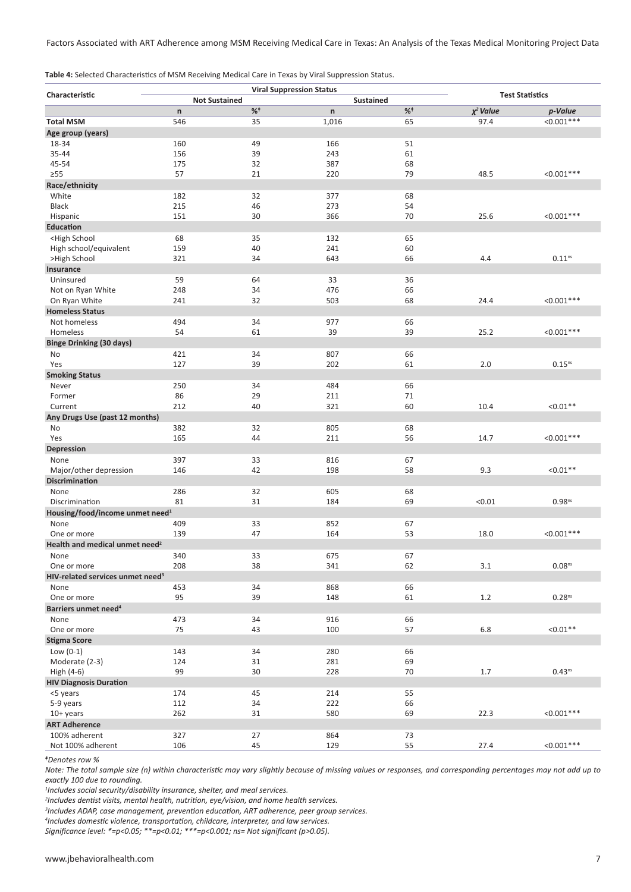Factors Associated with ART Adherence among MSM Receiving Medical Care in Texas: An Analysis of the Texas Medical Monitoring Project Data

| Characteristic                                                                                |     |                      | <b>Viral Suppression Status</b> |    |                | <b>Test Statistics</b> |
|-----------------------------------------------------------------------------------------------|-----|----------------------|---------------------------------|----|----------------|------------------------|
|                                                                                               |     | <b>Not Sustained</b> | <b>Sustained</b>                |    |                |                        |
|                                                                                               | n   | $\%^{\dagger}$       | n                               | %  | $\chi^2$ Value | p-Value                |
| <b>Total MSM</b>                                                                              | 546 | 35                   | 1,016                           | 65 | 97.4           | $< 0.001***$           |
| Age group (years)                                                                             |     |                      |                                 |    |                |                        |
| 18-34                                                                                         | 160 | 49                   | 166                             | 51 |                |                        |
| 35-44                                                                                         | 156 | 39                   | 243                             | 61 |                |                        |
| 45-54                                                                                         | 175 | 32                   | 387                             | 68 |                |                        |
| $\geq 55$                                                                                     | 57  | 21                   | 220                             | 79 | 48.5           | $< 0.001***$           |
| Race/ethnicity                                                                                |     |                      |                                 |    |                |                        |
| White                                                                                         | 182 | 32                   | 377                             | 68 |                |                        |
| <b>Black</b>                                                                                  | 215 | 46                   | 273                             | 54 |                |                        |
| Hispanic                                                                                      | 151 | 30                   | 366                             | 70 | 25.6           | $< 0.001***$           |
| Education                                                                                     |     |                      |                                 |    |                |                        |
| <high school<="" td=""><td>68</td><td>35</td><td>132</td><td>65</td><td></td><td></td></high> | 68  | 35                   | 132                             | 65 |                |                        |
| High school/equivalent                                                                        | 159 | 40                   | 241                             | 60 |                |                        |
| >High School                                                                                  | 321 | 34                   | 643                             | 66 | 4.4            | $0.11^{\rm ns}$        |
| Insurance                                                                                     |     |                      |                                 |    |                |                        |
| Uninsured                                                                                     | 59  | 64                   | 33                              | 36 |                |                        |
| Not on Ryan White                                                                             | 248 | 34                   | 476                             | 66 |                |                        |
| On Ryan White                                                                                 | 241 | 32                   | 503                             | 68 | 24.4           | $< 0.001***$           |
| <b>Homeless Status</b>                                                                        |     |                      |                                 |    |                |                        |
| Not homeless                                                                                  | 494 | 34                   | 977                             | 66 |                |                        |
| Homeless                                                                                      | 54  | 61                   | 39                              | 39 | 25.2           | $< 0.001***$           |
| <b>Binge Drinking (30 days)</b>                                                               |     |                      |                                 |    |                |                        |
| No                                                                                            | 421 | 34                   | 807                             | 66 |                |                        |
| Yes                                                                                           | 127 | 39                   | 202                             | 61 | 2.0            | $0.15^{ns}$            |
| <b>Smoking Status</b>                                                                         |     |                      |                                 |    |                |                        |
| Never                                                                                         | 250 | 34                   | 484                             | 66 |                |                        |
| Former                                                                                        | 86  | 29                   | 211                             | 71 |                |                        |
| Current                                                                                       | 212 | 40                   | 321                             | 60 | 10.4           | $< 0.01**$             |
| Any Drugs Use (past 12 months)                                                                |     |                      |                                 |    |                |                        |
| No                                                                                            | 382 | 32                   | 805                             | 68 |                |                        |
| Yes                                                                                           | 165 | 44                   | 211                             | 56 | 14.7           | $< 0.001***$           |
| Depression                                                                                    |     |                      |                                 |    |                |                        |
| None                                                                                          | 397 | 33                   | 816                             | 67 |                |                        |
| Major/other depression                                                                        | 146 | 42                   | 198                             | 58 | 9.3            | $< 0.01**$             |
| <b>Discrimination</b>                                                                         |     |                      |                                 |    |                |                        |
| None                                                                                          | 286 | 32                   | 605                             | 68 |                |                        |
| Discrimination                                                                                | 81  | 31                   | 184                             | 69 | < 0.01         | 0.98 <sup>ns</sup>     |
| Housing/food/income unmet need <sup>1</sup>                                                   |     |                      |                                 |    |                |                        |
| None                                                                                          | 409 | 33                   | 852                             | 67 |                |                        |
| One or more                                                                                   | 139 | 47                   | 164                             | 53 | 18.0           | $< 0.001***$           |
| Health and medical unmet need <sup>2</sup>                                                    |     |                      |                                 |    |                |                        |
| None                                                                                          | 340 | 33                   | 675                             | 67 |                |                        |
| One or more                                                                                   | 208 | 38                   | 341                             | 62 | 3.1            | 0.08 <sup>ns</sup>     |
| HIV-related services unmet need <sup>3</sup>                                                  |     |                      |                                 |    |                |                        |
| None                                                                                          | 453 | 34                   | 868                             | 66 |                |                        |
| One or more                                                                                   | 95  | 39                   | 148                             | 61 | 1.2            | 0.28 <sup>ns</sup>     |
| Barriers unmet need <sup>4</sup>                                                              |     |                      |                                 |    |                |                        |
| None                                                                                          | 473 | 34                   | 916                             | 66 |                |                        |
| One or more                                                                                   | 75  | 43                   | 100                             | 57 | 6.8            | $< 0.01**$             |
| <b>Stigma Score</b>                                                                           |     |                      |                                 |    |                |                        |
| Low $(0-1)$                                                                                   | 143 | 34                   | 280                             | 66 |                |                        |
| Moderate (2-3)                                                                                | 124 | 31                   | 281                             | 69 |                |                        |
| High (4-6)                                                                                    | 99  | 30                   | 228                             | 70 | $1.7\,$        | 0.43 <sup>ns</sup>     |
| <b>HIV Diagnosis Duration</b>                                                                 |     |                      |                                 |    |                |                        |
| <5 years                                                                                      | 174 | 45                   | 214                             | 55 |                |                        |
| 5-9 years                                                                                     | 112 | 34                   | 222                             | 66 |                |                        |
| 10+ years                                                                                     | 262 | 31                   | 580                             | 69 | 22.3           | $< 0.001***$           |
| <b>ART Adherence</b>                                                                          |     |                      |                                 |    |                |                        |
| 100% adherent                                                                                 | 327 | 27                   | 864                             | 73 |                |                        |
| Not 100% adherent                                                                             | 106 | 45                   | 129                             | 55 | 27.4           | $< 0.001***$           |
|                                                                                               |     |                      |                                 |    |                |                        |

*<sup>ǂ</sup>Denotes row %*

*Note: The total sample size (n) within characteristic may vary slightly because of missing values or responses, and corresponding percentages may not add up to exactly 100 due to rounding.*

*Includes social security/disability insurance, shelter, and meal services.*

*Includes dentist visits, mental health, nutrition, eye/vision, and home health services.*

*Includes ADAP, case management, prevention education, ART adherence, peer group services.*

*Includes domestic violence, transportation, childcare, interpreter, and law services.*

*Significance level: \*=p<0.05; \*\*=p<0.01; \*\*\*=p<0.001; ns= Not significant (p>0.05).*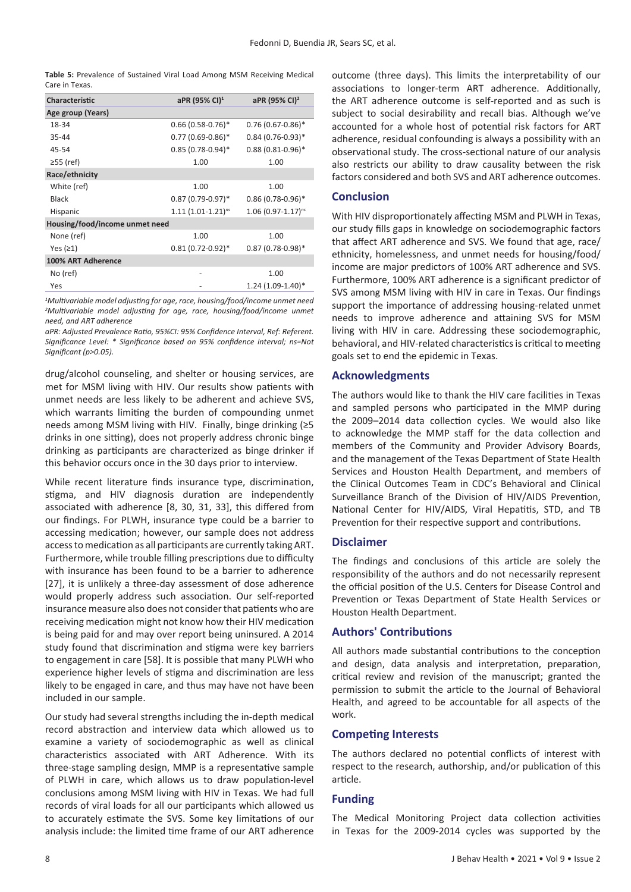**Table 5:** Prevalence of Sustained Viral Load Among MSM Receiving Medical Care in Texas.

| Characteristic                 | aPR (95% CI) <sup>1</sup>       | aPR (95% CI) <sup>2</sup>        |
|--------------------------------|---------------------------------|----------------------------------|
| Age group (Years)              |                                 |                                  |
| 18-34                          | $0.66$ (0.58-0.76) <sup>*</sup> | $0.76(0.67-0.86)$ *              |
| 35-44                          | $0.77(0.69-0.86)$ <sup>*</sup>  | $0.84(0.76-0.93)*$               |
| 45-54                          | $0.85(0.78-0.94)$ *             | $0.88(0.81 - 0.96)$ *            |
| $\geq$ 55 (ref)                | 1.00                            | 1.00                             |
| Race/ethnicity                 |                                 |                                  |
| White (ref)                    | 1.00                            | 1.00                             |
| Black                          | $0.87(0.79-0.97)^*$             | $0.86(0.78-0.96)$ *              |
| Hispanic                       | $1.11(1.01-1.21)^{ns}$          | $1.06$ (0.97-1.17) <sup>ns</sup> |
| Housing/food/income unmet need |                                 |                                  |
| None (ref)                     | 1.00                            | 1.00                             |
| Yes $(21)$                     | $0.81(0.72 - 0.92)*$            | $0.87(0.78-0.98)*$               |
| 100% ART Adherence             |                                 |                                  |
| No (ref)                       | ٠                               | 1.00                             |
| Yes                            |                                 | 1.24 (1.09-1.40)*                |

*1 Multivariable model adjusting for age, race, housing/food/income unmet need 2 Multivariable model adjusting for age, race, housing/food/income unmet need, and ART adherence*

*aPR: Adjusted Prevalence Ratio, 95%CI: 95% Confidence Interval, Ref: Referent. Significance Level: \* Significance based on 95% confidence interval; ns=Not Significant (p>0.05).*

drug/alcohol counseling, and shelter or housing services, are met for MSM living with HIV. Our results show patients with unmet needs are less likely to be adherent and achieve SVS, which warrants limiting the burden of compounding unmet needs among MSM living with HIV. Finally, binge drinking (≥5 drinks in one sitting), does not properly address chronic binge drinking as participants are characterized as binge drinker if this behavior occurs once in the 30 days prior to interview.

While recent literature finds insurance type, discrimination, stigma, and HIV diagnosis duration are independently associated with adherence [8, 30, 31, 33], this differed from our findings. For PLWH, insurance type could be a barrier to accessing medication; however, our sample does not address accesstomedication as all participants are currently taking ART. Furthermore, while trouble filling prescriptions due to difficulty with insurance has been found to be a barrier to adherence [27], it is unlikely a three-day assessment of dose adherence would properly address such association. Our self-reported insurance measure also does not consider that patients who are receiving medication might not know how their HIV medication is being paid for and may over report being uninsured. A 2014 study found that discrimination and stigma were key barriers to engagement in care [58]. It is possible that many PLWH who experience higher levels of stigma and discrimination are less likely to be engaged in care, and thus may have not have been included in our sample.

Our study had several strengths including the in-depth medical record abstraction and interview data which allowed us to examine a variety of sociodemographic as well as clinical characteristics associated with ART Adherence. With its three-stage sampling design, MMP is a representative sample of PLWH in care, which allows us to draw population-level conclusions among MSM living with HIV in Texas. We had full records of viral loads for all our participants which allowed us to accurately estimate the SVS. Some key limitations of our analysis include: the limited time frame of our ART adherence outcome (three days). This limits the interpretability of our associations to longer-term ART adherence. Additionally, the ART adherence outcome is self-reported and as such is subject to social desirability and recall bias. Although we've accounted for a whole host of potential risk factors for ART adherence, residual confounding is always a possibility with an observational study. The cross-sectional nature of our analysis also restricts our ability to draw causality between the risk factors considered and both SVS and ART adherence outcomes.

# **Conclusion**

With HIV disproportionately affecting MSM and PLWH in Texas, our study fills gaps in knowledge on sociodemographic factors that affect ART adherence and SVS. We found that age, race/ ethnicity, homelessness, and unmet needs for housing/food/ income are major predictors of 100% ART adherence and SVS. Furthermore, 100% ART adherence is a significant predictor of SVS among MSM living with HIV in care in Texas. Our findings support the importance of addressing housing-related unmet needs to improve adherence and attaining SVS for MSM living with HIV in care. Addressing these sociodemographic, behavioral, and HIV-related characteristicsis critical to meeting goals set to end the epidemic in Texas.

## **Acknowledgments**

The authors would like to thank the HIV care facilities in Texas and sampled persons who participated in the MMP during the 2009–2014 data collection cycles. We would also like to acknowledge the MMP staff for the data collection and members of the Community and Provider Advisory Boards, and the management of the Texas Department of State Health Services and Houston Health Department, and members of the Clinical Outcomes Team in CDC's Behavioral and Clinical Surveillance Branch of the Division of HIV/AIDS Prevention, National Center for HIV/AIDS, Viral Hepatitis, STD, and TB Prevention for their respective support and contributions.

#### **Disclaimer**

The findings and conclusions of this article are solely the responsibility of the authors and do not necessarily represent the official position of the U.S. Centers for Disease Control and Prevention or Texas Department of State Health Services or Houston Health Department.

# **Authors' Contributions**

All authors made substantial contributions to the conception and design, data analysis and interpretation, preparation, critical review and revision of the manuscript; granted the permission to submit the article to the Journal of Behavioral Health, and agreed to be accountable for all aspects of the work.

# **Competing Interests**

The authors declared no potential conflicts of interest with respect to the research, authorship, and/or publication of this article.

#### **Funding**

The Medical Monitoring Project data collection activities in Texas for the 2009-2014 cycles was supported by the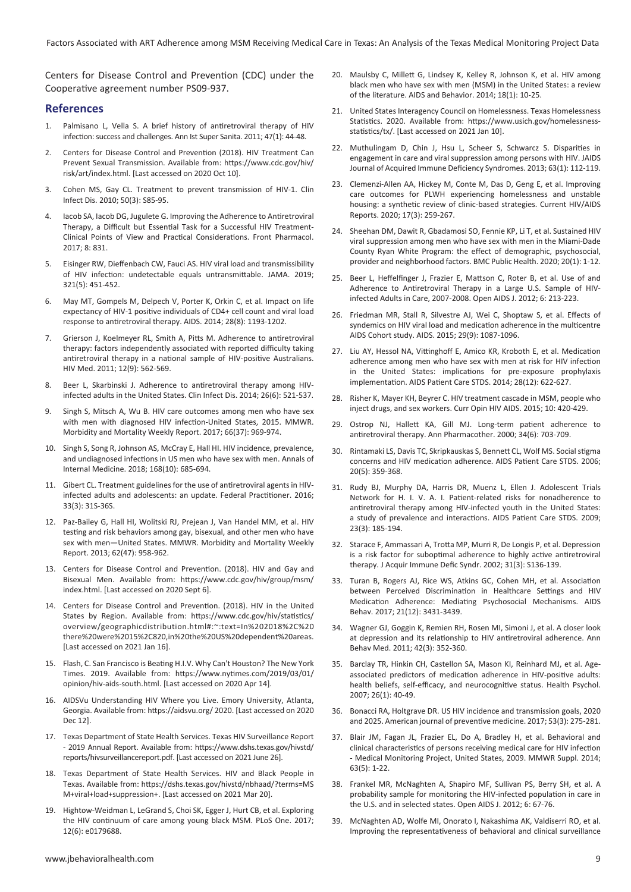Centers for Disease Control and Prevention (CDC) under the Cooperative agreement number PS09-937.

#### **References**

- 1. Palmisano L, Vella S. A brief history of antiretroviral therapy of HIV infection: success and challenges. Ann Ist Super Sanita. 2011; 47(1): 44-48.
- 2. Centers for Disease Control and Prevention (2018). HIV Treatment Can Prevent Sexual Transmission. Available from: https://www.cdc.gov/hiv/ risk/art/index.html. [Last accessed on 2020 Oct 10].
- 3. Cohen MS, Gay CL. Treatment to prevent transmission of HIV-1. Clin Infect Dis. 2010; 50(3): S85-95.
- 4. Iacob SA, Iacob DG, Jugulete G. Improving the Adherence to Antiretroviral Therapy, a Difficult but Essential Task for a Successful HIV Treatment-Clinical Points of View and Practical Considerations. Front Pharmacol. 2017; 8: 831.
- 5. Eisinger RW, Dieffenbach CW, Fauci AS. HIV viral load and transmissibility of HIV infection: undetectable equals untransmittable. JAMA. 2019; 321(5): 451-452.
- 6. May MT, Gompels M, Delpech V, Porter K, Orkin C, et al. Impact on life expectancy of HIV-1 positive individuals of CD4+ cell count and viral load response to antiretroviral therapy. AIDS. 2014; 28(8): 1193-1202.
- 7. Grierson J, Koelmeyer RL, Smith A, Pitts M. Adherence to antiretroviral therapy: factors independently associated with reported difficulty taking antiretroviral therapy in a national sample of HIV-positive Australians. HIV Med. 2011; 12(9): 562-569.
- 8. Beer L, Skarbinski J. Adherence to antiretroviral therapy among HIVinfected adults in the United States. Clin Infect Dis. 2014; 26(6): 521-537.
- 9. Singh S, Mitsch A, Wu B. HIV care outcomes among men who have sex with men with diagnosed HIV infection-United States, 2015. MMWR. Morbidity and Mortality Weekly Report. 2017; 66(37): 969-974.
- 10. Singh S, Song R, Johnson AS, McCray E, Hall HI. HIV incidence, prevalence, and undiagnosed infections in US men who have sex with men. Annals of Internal Medicine. 2018; 168(10): 685-694.
- 11. Gibert CL. Treatment guidelinesfor the use of antiretroviral agentsin HIVinfected adults and adolescents: an update. Federal Practitioner. 2016; 33(3): 31S-36S.
- 12. Paz-Bailey G, Hall HI, Wolitski RJ, Prejean J, Van Handel MM, et al. HIV testing and risk behaviors among gay, bisexual, and other men who have sex with men—United States. MMWR. Morbidity and Mortality Weekly Report. 2013; 62(47): 958-962.
- 13. Centers for Disease Control and Prevention. (2018). HIV and Gay and Bisexual Men. Available from: https://www.cdc.gov/hiv/group/msm/ index.html. [Last accessed on 2020 Sept 6].
- 14. Centers for Disease Control and Prevention. (2018). HIV in the United States by Region. Available from: https://www.cdc.gov/hiv/statistics/ overview/geographicdistribution.html#:~:text=In%202018%2C%20 there%20were%2015%2C820,in%20the%20US%20dependent%20areas. [Last accessed on 2021 Jan 16].
- 15. Flash, C. San Francisco is Beating H.I.V. Why Can't Houston? The New York Times. 2019. Available from: https://www.nytimes.com/2019/03/01/ opinion/hiv-aids-south.html. [Last accessed on 2020 Apr 14].
- 16. AIDSVu Understanding HIV Where you Live. Emory University, Atlanta, Georgia. Available from: https://aidsvu.org/ 2020. [Last accessed on 2020 Dec 12].
- 17. Texas Department of State Health Services. Texas HIV Surveillance Report - 2019 Annual Report. Available from: https://www.dshs.texas.gov/hivstd/ reports/hivsurveillancereport.pdf. [Last accessed on 2021 June 26].
- 18. Texas Department of State Health Services. HIV and Black People in Texas. Available from: https://dshs.texas.gov/hivstd/nbhaad/?terms=MS M+viral+load+suppression+. [Last accessed on 2021 Mar 20].
- 19. Hightow-Weidman L, LeGrand S, Choi SK, Egger J, Hurt CB, et al. Exploring the HIV continuum of care among young black MSM. PLoS One. 2017; 12(6): e0179688.
- 20. Maulsby C, Millett G, Lindsey K, Kelley R, Johnson K, et al. HIV among black men who have sex with men (MSM) in the United States: a review of the literature. AIDS and Behavior. 2014; 18(1): 10-25.
- 21. United States Interagency Council on Homelessness. Texas Homelessness Statistics. 2020. Available from: https://www.usich.gov/homelessnessstatistics/tx/. [Last accessed on 2021 Jan 10].
- 22. Muthulingam D, Chin J, Hsu L, Scheer S, Schwarcz S. Disparities in engagement in care and viral suppression among persons with HIV. JAIDS Journal of Acquired Immune Deficiency Syndromes. 2013; 63(1): 112-119.
- 23. Clemenzi-Allen AA, Hickey M, Conte M, Das D, Geng E, et al. Improving care outcomes for PLWH experiencing homelessness and unstable housing: a synthetic review of clinic-based strategies. Current HIV/AIDS Reports. 2020; 17(3): 259-267.
- 24. Sheehan DM, Dawit R, Gbadamosi SO, Fennie KP, Li T, et al. Sustained HIV viral suppression among men who have sex with men in the Miami-Dade County Ryan White Program: the effect of demographic, psychosocial, provider and neighborhood factors. BMC Public Health. 2020; 20(1): 1-12.
- 25. Beer L, Heffelfinger J, Frazier E, Mattson C, Roter B, et al. Use of and Adherence to Antiretroviral Therapy in a Large U.S. Sample of HIVinfected Adults in Care, 2007-2008. Open AIDS J. 2012; 6: 213-223.
- 26. Friedman MR, Stall R, Silvestre AJ, Wei C, Shoptaw S, et al. Effects of syndemics on HIV viral load and medication adherence in the multicentre AIDS Cohort study. AIDS. 2015; 29(9): 1087-1096.
- 27. Liu AY, Hessol NA, Vittinghoff E, Amico KR, Kroboth E, et al. Medication adherence among men who have sex with men at risk for HIV infection in the United States: implications for pre-exposure prophylaxis implementation. AIDS Patient Care STDS. 2014; 28(12): 622-627.
- 28. Risher K, Mayer KH, Beyrer C. HIV treatment cascade in MSM, people who inject drugs, and sex workers. Curr Opin HIV AIDS. 2015; 10: 420-429.
- 29. Ostrop NJ, Hallett KA, Gill MJ. Long-term patient adherence to antiretroviral therapy. Ann Pharmacother. 2000; 34(6): 703-709.
- 30. Rintamaki LS, Davis TC, Skripkauskas S, Bennett CL, Wolf MS. Socialstigma concerns and HIV medication adherence. AIDS Patient Care STDS. 2006; 20(5): 359-368.
- 31. Rudy BJ, Murphy DA, Harris DR, Muenz L, Ellen J. Adolescent Trials Network for H. I. V. A. I. Patient-related risks for nonadherence to antiretroviral therapy among HIV-infected youth in the United States: a study of prevalence and interactions. AIDS Patient Care STDS. 2009; 23(3): 185-194.
- 32. Starace F, Ammassari A, Trotta MP, Murri R, De Longis P, et al. Depression is a risk factor for suboptimal adherence to highly active antiretroviral therapy. J Acquir Immune Defic Syndr. 2002; 31(3): S136-139.
- 33. Turan B, Rogers AJ, Rice WS, Atkins GC, Cohen MH, et al. Association between Perceived Discrimination in Healthcare Settings and HIV Medication Adherence: Mediating Psychosocial Mechanisms. AIDS Behav. 2017; 21(12): 3431-3439.
- 34. Wagner GJ, Goggin K, Remien RH, Rosen MI, Simoni J, et al. A closer look at depression and its relationship to HIV antiretroviral adherence. Ann Behav Med. 2011; 42(3): 352-360.
- 35. Barclay TR, Hinkin CH, Castellon SA, Mason KI, Reinhard MJ, et al. Ageassociated predictors of medication adherence in HIV-positive adults: health beliefs, self-efficacy, and neurocognitive status. Health Psychol. 2007; 26(1): 40-49.
- 36. Bonacci RA, Holtgrave DR. US HIV incidence and transmission goals, 2020 and 2025. American journal of preventive medicine. 2017; 53(3): 275-281.
- 37. Blair JM, Fagan JL, Frazier EL, Do A, Bradley H, et al. Behavioral and clinical characteristics of persons receiving medical care for HIV infection - Medical Monitoring Project, United States, 2009. MMWR Suppl. 2014; 63(5): 1-22.
- 38. Frankel MR, McNaghten A, Shapiro MF, Sullivan PS, Berry SH, et al. A probability sample for monitoring the HIV-infected population in care in the U.S. and in selected states. Open AIDS J. 2012; 6: 67-76.
- 39. McNaghten AD, Wolfe MI, Onorato I, Nakashima AK, Valdiserri RO, et al. Improving the representativeness of behavioral and clinical surveillance